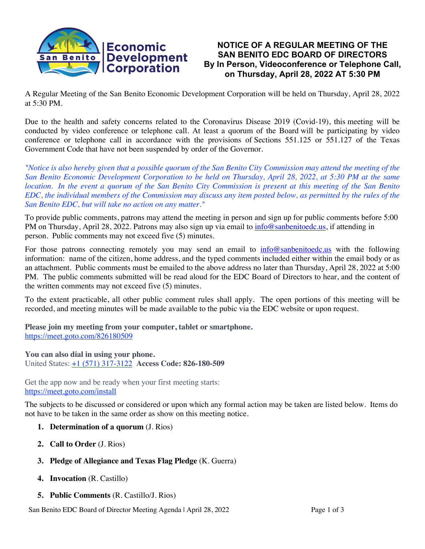

# **NOTICE OF A REGULAR MEETING OF THE SAN BENITO EDC BOARD OF DIRECTORS By In Person, Videoconference or Telephone Call, on Thursday, April 28, 2022 AT 5:30 PM**

A Regular Meeting of the San Benito Economic Development Corporation will be held on Thursday, April 28, 2022 at 5:30 PM.

Due to the health and safety concerns related to the Coronavirus Disease 2019 (Covid-19), this meeting will be conducted by video conference or telephone call. At least a quorum of the Board will be participating by video conference or telephone call in accordance with the provisions of Sections 551.125 or 551.127 of the Texas Government Code that have not been suspended by order of the Governor.

*"Notice is also hereby given that a possible quorum of the San Benito City Commission may attend the meeting of the San Benito Economic Development Corporation to be held on Thursday, April 28, 2022, at 5:30 PM at the same location. In the event a quorum of the San Benito City Commission is present at this meeting of the San Benito EDC, the individual members of the Commission may discuss any item posted below, as permitted by the rules of the San Benito EDC, but will take no action on any matter."*

To provide public comments, patrons may attend the meeting in person and sign up for public comments before 5:00 PM on Thursday, April 28, 2022. Patrons may also sign up via email to  $info@sanbenitoedc.us$ , if attending in person. Public comments may not exceed five (5) minutes.

For those patrons connecting remotely you may send an email to  $info@sanbenitoedc.us$  with the following information: name of the citizen, home address, and the typed comments included either within the email body or as an attachment. Public comments must be emailed to the above address no later than Thursday, April 28, 2022 at 5:00 PM. The public comments submitted will be read aloud for the EDC Board of Directors to hear, and the content of the written comments may not exceed five (5) minutes.

To the extent practicable, all other public comment rules shall apply. The open portions of this meeting will be recorded, and meeting minutes will be made available to the pubic via the EDC website or upon request.

**Please join my meeting from your computer, tablet or smartphone.** https://meet.goto.com/826180509

**You can also dial in using your phone.** United States: +1 (571) 317-3122 **Access Code: 826-180-509**

Get the app now and be ready when your first meeting starts: https://meet.goto.com/install

The subjects to be discussed or considered or upon which any formal action may be taken are listed below. Items do not have to be taken in the same order as show on this meeting notice.

- **1. Determination of a quorum** (J. Rios)
- **2. Call to Order** (J. Rios)
- **3. Pledge of Allegiance and Texas Flag Pledge** (K. Guerra)
- **4. Invocation** (R. Castillo)
- **5. Public Comments** (R. Castillo/J. Rios)

San Benito EDC Board of Director Meeting Agenda | April 28, 2022 Page 1 of 3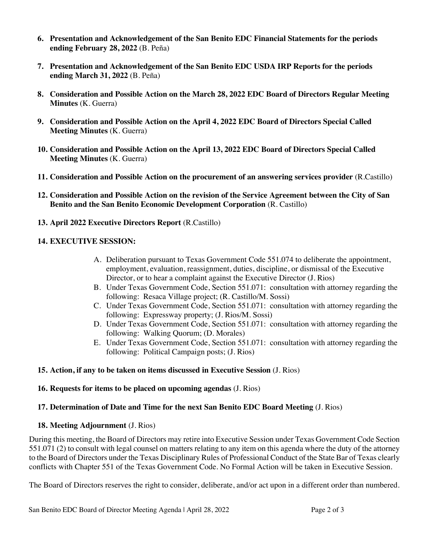- **6. Presentation and Acknowledgement of the San Benito EDC Financial Statements for the periods ending February 28, 2022** (B. Peña)
- **7. Presentation and Acknowledgement of the San Benito EDC USDA IRP Reports for the periods ending March 31, 2022** (B. Peña)
- **8. Consideration and Possible Action on the March 28, 2022 EDC Board of Directors Regular Meeting Minutes** (K. Guerra)
- **9. Consideration and Possible Action on the April 4, 2022 EDC Board of Directors Special Called Meeting Minutes** (K. Guerra)
- **10. Consideration and Possible Action on the April 13, 2022 EDC Board of Directors Special Called Meeting Minutes** (K. Guerra)
- **11. Consideration and Possible Action on the procurement of an answering services provider** (R.Castillo)
- **12. Consideration and Possible Action on the revision of the Service Agreement between the City of San Benito and the San Benito Economic Development Corporation** (R. Castillo)
- **13. April 2022 Executive Directors Report** (R.Castillo)

#### **14. EXECUTIVE SESSION:**

- A. Deliberation pursuant to Texas Government Code 551.074 to deliberate the appointment, employment, evaluation, reassignment, duties, discipline, or dismissal of the Executive Director, or to hear a complaint against the Executive Director (J. Rios)
- B. Under Texas Government Code, Section 551.071: consultation with attorney regarding the following: Resaca Village project; (R. Castillo/M. Sossi)
- C. Under Texas Government Code, Section 551.071: consultation with attorney regarding the following: Expressway property; (J. Rios/M. Sossi)
- D. Under Texas Government Code, Section 551.071: consultation with attorney regarding the following: Walking Quorum; (D. Morales)
- E. Under Texas Government Code, Section 551.071: consultation with attorney regarding the following: Political Campaign posts; (J. Rios)

#### **15. Action, if any to be taken on items discussed in Executive Session** (J. Rios)

# **16. Requests for items to be placed on upcoming agendas** (J. Rios)

# **17. Determination of Date and Time for the next San Benito EDC Board Meeting** (J. Rios)

# **18. Meeting Adjournment** (J. Rios)

During this meeting, the Board of Directors may retire into Executive Session under Texas Government Code Section 551.071 (2) to consult with legal counsel on matters relating to any item on this agenda where the duty of the attorney to the Board of Directors under the Texas Disciplinary Rules of Professional Conduct of the State Bar of Texas clearly conflicts with Chapter 551 of the Texas Government Code. No Formal Action will be taken in Executive Session.

The Board of Directors reserves the right to consider, deliberate, and/or act upon in a different order than numbered.